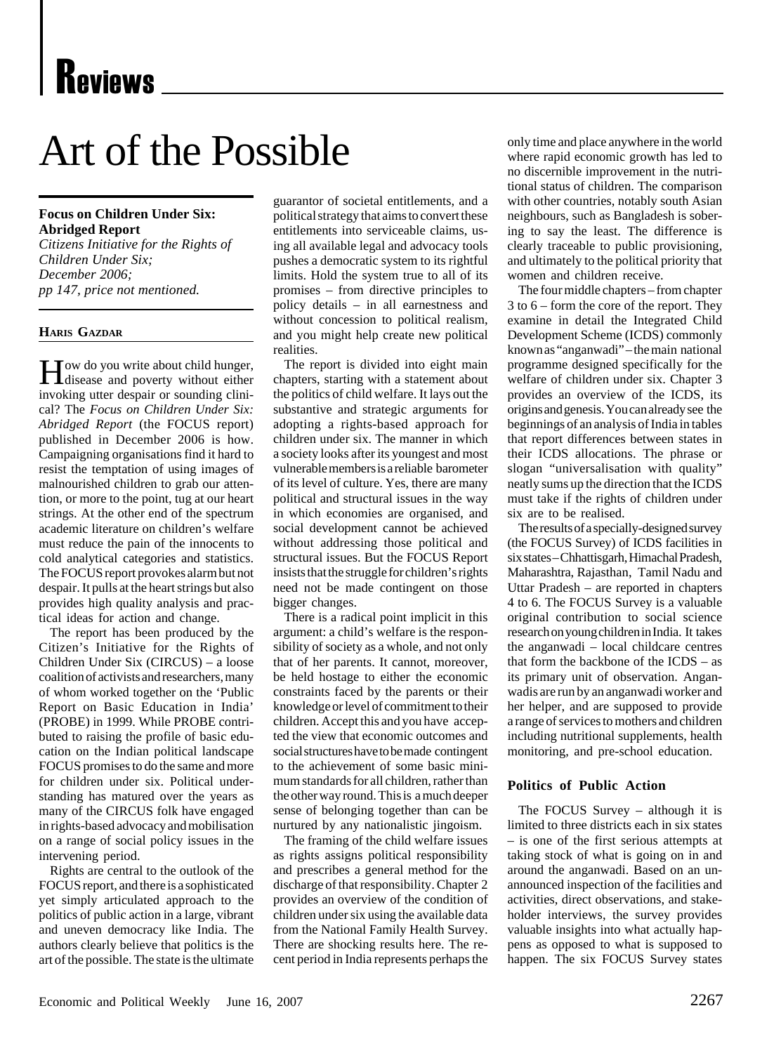# Art of the Possible

## **Focus on Children Under Six: Abridged Report**

*Citizens Initiative for the Rights of Children Under Six; December 2006; pp 147, price not mentioned.*

#### **HARIS GAZDAR**

How do you write about child hunger, disease and poverty without either invoking utter despair or sounding clinical? The *Focus on Children Under Six: Abridged Report* (the FOCUS report) published in December 2006 is how. Campaigning organisations find it hard to resist the temptation of using images of malnourished children to grab our attention, or more to the point, tug at our heart strings. At the other end of the spectrum academic literature on children's welfare must reduce the pain of the innocents to cold analytical categories and statistics. The FOCUS report provokes alarm but not despair. It pulls at the heart strings but also provides high quality analysis and practical ideas for action and change.

The report has been produced by the Citizen's Initiative for the Rights of Children Under Six (CIRCUS) – a loose coalition of activists and researchers, many of whom worked together on the 'Public Report on Basic Education in India' (PROBE) in 1999. While PROBE contributed to raising the profile of basic education on the Indian political landscape FOCUS promises to do the same and more for children under six. Political understanding has matured over the years as many of the CIRCUS folk have engaged in rights-based advocacy and mobilisation on a range of social policy issues in the intervening period.

Rights are central to the outlook of the FOCUS report, and there is a sophisticated yet simply articulated approach to the politics of public action in a large, vibrant and uneven democracy like India. The authors clearly believe that politics is the art of the possible. The state is the ultimate guarantor of societal entitlements, and a political strategy that aims to convert these entitlements into serviceable claims, using all available legal and advocacy tools pushes a democratic system to its rightful limits. Hold the system true to all of its promises – from directive principles to policy details – in all earnestness and without concession to political realism, and you might help create new political realities.

The report is divided into eight main chapters, starting with a statement about the politics of child welfare. It lays out the substantive and strategic arguments for adopting a rights-based approach for children under six. The manner in which a society looks after its youngest and most vulnerable members is a reliable barometer of its level of culture. Yes, there are many political and structural issues in the way in which economies are organised, and social development cannot be achieved without addressing those political and structural issues. But the FOCUS Report insists that the struggle for children's rights need not be made contingent on those bigger changes.

There is a radical point implicit in this argument: a child's welfare is the responsibility of society as a whole, and not only that of her parents. It cannot, moreover, be held hostage to either the economic constraints faced by the parents or their knowledge or level of commitment to their children. Accept this and you have accepted the view that economic outcomes and social structures have to be made contingent to the achievement of some basic minimum standards for all children, rather than the other way round. This is a much deeper sense of belonging together than can be nurtured by any nationalistic jingoism.

The framing of the child welfare issues as rights assigns political responsibility and prescribes a general method for the discharge of that responsibility. Chapter 2 provides an overview of the condition of children under six using the available data from the National Family Health Survey. There are shocking results here. The recent period in India represents perhaps the only time and place anywhere in the world where rapid economic growth has led to no discernible improvement in the nutritional status of children. The comparison with other countries, notably south Asian neighbours, such as Bangladesh is sobering to say the least. The difference is clearly traceable to public provisioning, and ultimately to the political priority that women and children receive.

The four middle chapters – from chapter 3 to 6 – form the core of the report. They examine in detail the Integrated Child Development Scheme (ICDS) commonly known as "anganwadi" – the main national programme designed specifically for the welfare of children under six. Chapter 3 provides an overview of the ICDS, its origins and genesis. You can already see the beginnings of an analysis of India in tables that report differences between states in their ICDS allocations. The phrase or slogan "universalisation with quality" neatly sums up the direction that the ICDS must take if the rights of children under six are to be realised.

The results of a specially-designed survey (the FOCUS Survey) of ICDS facilities in six states – Chhattisgarh, Himachal Pradesh, Maharashtra, Rajasthan, Tamil Nadu and Uttar Pradesh – are reported in chapters 4 to 6. The FOCUS Survey is a valuable original contribution to social science research on young children in India. It takes the anganwadi – local childcare centres that form the backbone of the ICDS – as its primary unit of observation. Anganwadis are run by an anganwadi worker and her helper, and are supposed to provide a range of services to mothers and children including nutritional supplements, health monitoring, and pre-school education.

### **Politics of Public Action**

The FOCUS Survey – although it is limited to three districts each in six states – is one of the first serious attempts at taking stock of what is going on in and around the anganwadi. Based on an unannounced inspection of the facilities and activities, direct observations, and stakeholder interviews, the survey provides valuable insights into what actually happens as opposed to what is supposed to happen. The six FOCUS Survey states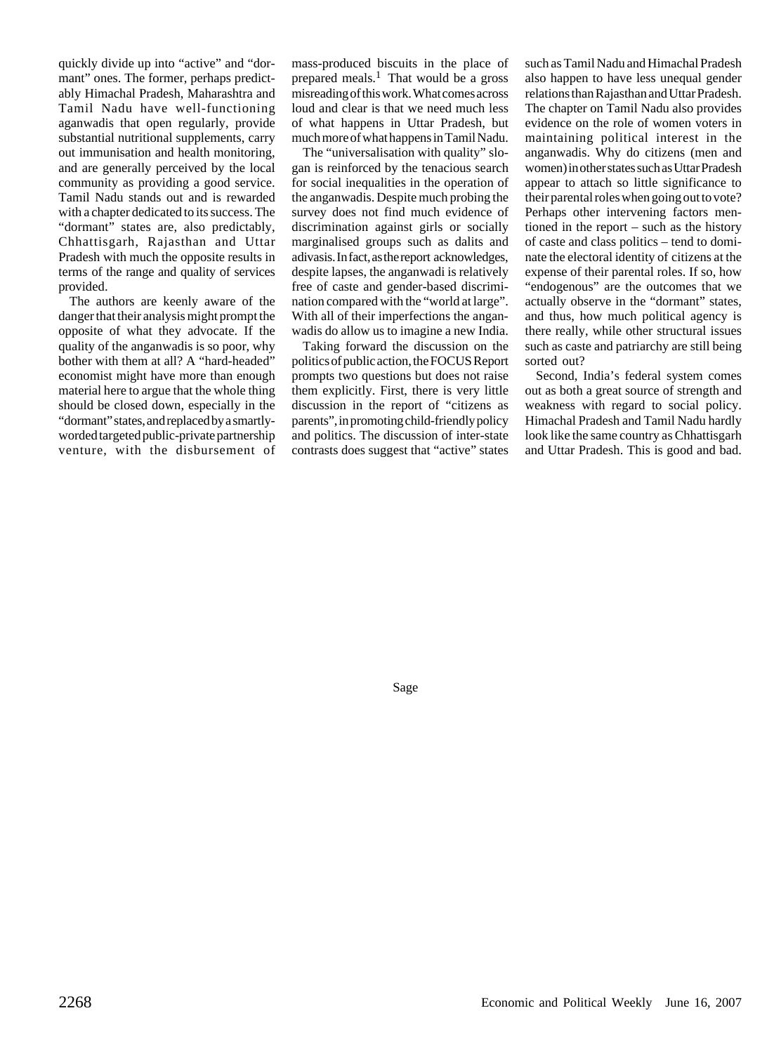quickly divide up into "active" and "dormant" ones. The former, perhaps predictably Himachal Pradesh, Maharashtra and Tamil Nadu have well-functioning aganwadis that open regularly, provide substantial nutritional supplements, carry out immunisation and health monitoring, and are generally perceived by the local community as providing a good service. Tamil Nadu stands out and is rewarded with a chapter dedicated to its success. The "dormant" states are, also predictably, Chhattisgarh, Rajasthan and Uttar Pradesh with much the opposite results in terms of the range and quality of services provided.

The authors are keenly aware of the danger that their analysis might prompt the opposite of what they advocate. If the quality of the anganwadis is so poor, why bother with them at all? A "hard-headed" economist might have more than enough material here to argue that the whole thing should be closed down, especially in the "dormant" states, and replaced by a smartlyworded targeted public-private partnership venture, with the disbursement of mass-produced biscuits in the place of prepared meals.<sup>1</sup> That would be a gross misreading of this work. What comes across loud and clear is that we need much less of what happens in Uttar Pradesh, but much more of what happens in Tamil Nadu.

The "universalisation with quality" slogan is reinforced by the tenacious search for social inequalities in the operation of the anganwadis. Despite much probing the survey does not find much evidence of discrimination against girls or socially marginalised groups such as dalits and adivasis. In fact, as the report acknowledges, despite lapses, the anganwadi is relatively free of caste and gender-based discrimination compared with the "world at large". With all of their imperfections the anganwadis do allow us to imagine a new India.

Taking forward the discussion on the politics of public action, the FOCUS Report prompts two questions but does not raise them explicitly. First, there is very little discussion in the report of "citizens as parents", in promoting child-friendly policy and politics. The discussion of inter-state contrasts does suggest that "active" states

such as Tamil Nadu and Himachal Pradesh also happen to have less unequal gender relations than Rajasthan and Uttar Pradesh. The chapter on Tamil Nadu also provides evidence on the role of women voters in maintaining political interest in the anganwadis. Why do citizens (men and women) in other states such as Uttar Pradesh appear to attach so little significance to their parental roles when going out to vote? Perhaps other intervening factors mentioned in the report – such as the history of caste and class politics – tend to dominate the electoral identity of citizens at the expense of their parental roles. If so, how "endogenous" are the outcomes that we actually observe in the "dormant" states, and thus, how much political agency is there really, while other structural issues such as caste and patriarchy are still being sorted out?

Second, India's federal system comes out as both a great source of strength and weakness with regard to social policy. Himachal Pradesh and Tamil Nadu hardly look like the same country as Chhattisgarh and Uttar Pradesh. This is good and bad.

Sage